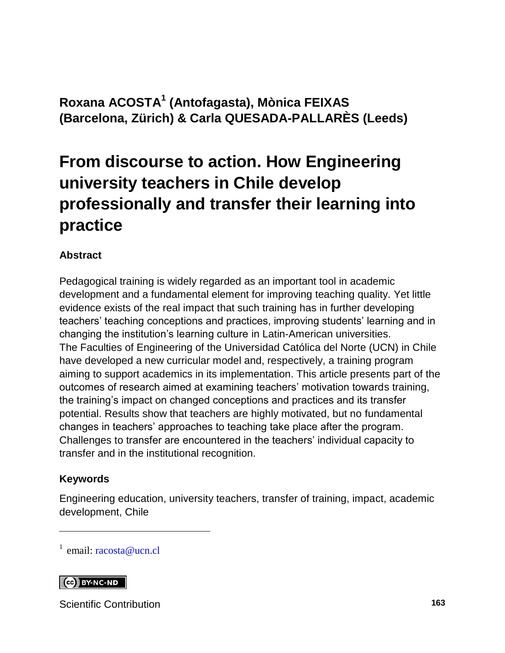### **Roxana ACOSTA<sup>1</sup> (Antofagasta), Mònica FEIXAS (Barcelona, Zürich) & Carla QUESADA-PALLARÈS (Leeds)**

# **From discourse to action. How Engineering university teachers in Chile develop professionally and transfer their learning into practice**

#### **Abstract**

Pedagogical training is widely regarded as an important tool in academic development and a fundamental element for improving teaching quality. Yet little evidence exists of the real impact that such training has in further developing teachers' teaching conceptions and practices, improving students' learning and in changing the institution's learning culture in Latin-American universities. The Faculties of Engineering of the Universidad Católica del Norte (UCN) in Chile have developed a new curricular model and, respectively, a training program aiming to support academics in its implementation. This article presents part of the outcomes of research aimed at examining teachers' motivation towards training, the training's impact on changed conceptions and practices and its transfer potential. Results show that teachers are highly motivated, but no fundamental changes in teachers' approaches to teaching take place after the program. Challenges to transfer are encountered in the teachers' individual capacity to transfer and in the institutional recognition.

#### **Keywords**

l

Engineering education, university teachers, transfer of training, impact, academic development, Chile

<sup>1</sup> email: [racosta@ucn.cl](mailto:racosta@ucn.cl)

#### CC BY-NC-ND

Scientific Contribution **163**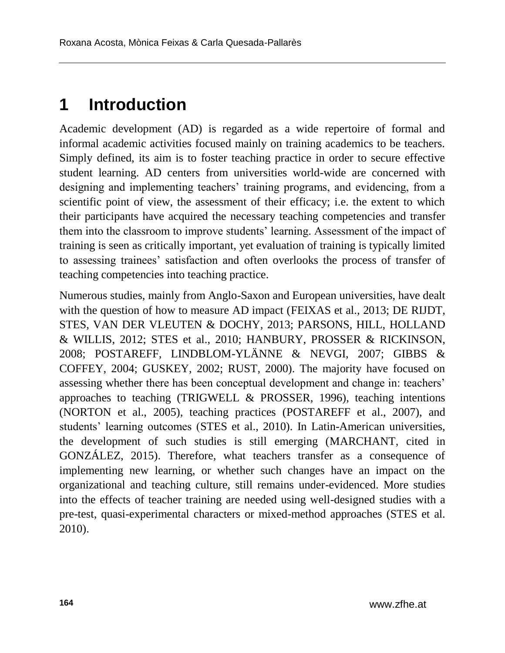## **1 Introduction**

Academic development (AD) is regarded as a wide repertoire of formal and informal academic activities focused mainly on training academics to be teachers. Simply defined, its aim is to foster teaching practice in order to secure effective student learning. AD centers from universities world-wide are concerned with designing and implementing teachers' training programs, and evidencing, from a scientific point of view, the assessment of their efficacy; i.e. the extent to which their participants have acquired the necessary teaching competencies and transfer them into the classroom to improve students' learning. Assessment of the impact of training is seen as critically important, yet evaluation of training is typically limited to assessing trainees' satisfaction and often overlooks the process of transfer of teaching competencies into teaching practice.

Numerous studies, mainly from Anglo-Saxon and European universities, have dealt with the question of how to measure AD impact (FEIXAS et al., 2013; DE RIJDT, STES, VAN DER VLEUTEN & DOCHY, 2013; PARSONS, HILL, HOLLAND & WILLIS, 2012; STES et al., 2010; HANBURY, PROSSER & RICKINSON, 2008; POSTAREFF, LINDBLOM-YLÄNNE & NEVGI, 2007; GIBBS & COFFEY, 2004; GUSKEY, 2002; RUST, 2000). The majority have focused on assessing whether there has been conceptual development and change in: teachers' approaches to teaching (TRIGWELL & PROSSER, 1996), teaching intentions (NORTON et al., 2005), teaching practices (POSTAREFF et al., 2007), and students' learning outcomes (STES et al., 2010). In Latin-American universities, the development of such studies is still emerging (MARCHANT, cited in GONZÁLEZ, 2015). Therefore, what teachers transfer as a consequence of implementing new learning, or whether such changes have an impact on the organizational and teaching culture, still remains under-evidenced. More studies into the effects of teacher training are needed using well-designed studies with a pre-test, quasi-experimental characters or mixed-method approaches (STES et al. 2010).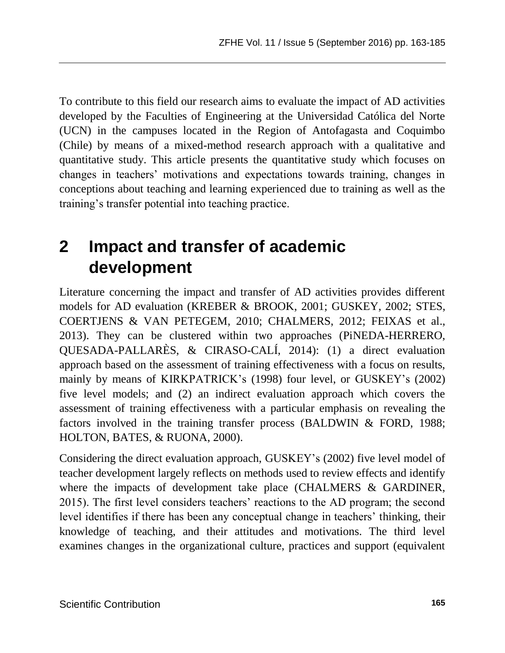To contribute to this field our research aims to evaluate the impact of AD activities developed by the Faculties of Engineering at the Universidad Católica del Norte (UCN) in the campuses located in the Region of Antofagasta and Coquimbo (Chile) by means of a mixed-method research approach with a qualitative and quantitative study. This article presents the quantitative study which focuses on changes in teachers' motivations and expectations towards training, changes in conceptions about teaching and learning experienced due to training as well as the training's transfer potential into teaching practice.

# **2 Impact and transfer of academic development**

Literature concerning the impact and transfer of AD activities provides different models for AD evaluation (KREBER & BROOK, 2001; GUSKEY, 2002; STES, COERTJENS & VAN PETEGEM, 2010; CHALMERS, 2012; FEIXAS et al., 2013). They can be clustered within two approaches (PiNEDA-HERRERO, QUESADA-PALLARÈS, & CIRASO-CALÍ, 2014): (1) a direct evaluation approach based on the assessment of training effectiveness with a focus on results, mainly by means of KIRKPATRICK's (1998) four level, or GUSKEY's (2002) five level models; and (2) an indirect evaluation approach which covers the assessment of training effectiveness with a particular emphasis on revealing the factors involved in the training transfer process (BALDWIN & FORD, 1988; HOLTON, BATES, & RUONA, 2000).

Considering the direct evaluation approach, GUSKEY's (2002) five level model of teacher development largely reflects on methods used to review effects and identify where the impacts of development take place (CHALMERS & GARDINER, 2015). The first level considers teachers' reactions to the AD program; the second level identifies if there has been any conceptual change in teachers' thinking, their knowledge of teaching, and their attitudes and motivations. The third level examines changes in the organizational culture, practices and support (equivalent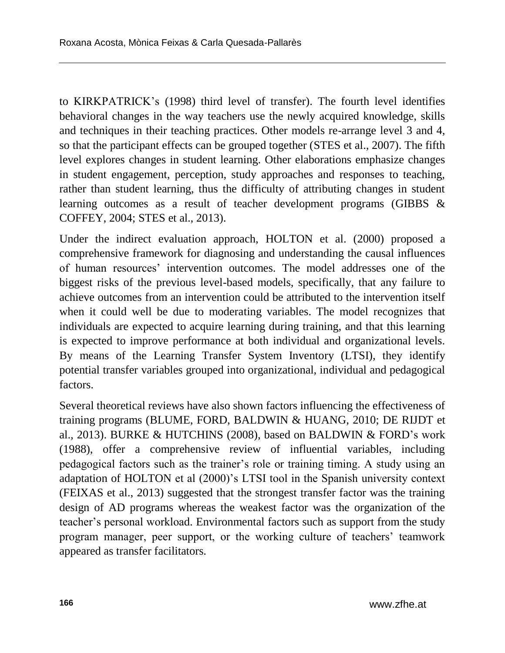to KIRKPATRICK's (1998) third level of transfer). The fourth level identifies behavioral changes in the way teachers use the newly acquired knowledge, skills and techniques in their teaching practices. Other models re-arrange level 3 and 4, so that the participant effects can be grouped together (STES et al., 2007). The fifth level explores changes in student learning. Other elaborations emphasize changes in student engagement, perception, study approaches and responses to teaching, rather than student learning, thus the difficulty of attributing changes in student learning outcomes as a result of teacher development programs (GIBBS & COFFEY, 2004; STES et al., 2013).

Under the indirect evaluation approach, HOLTON et al. (2000) proposed a comprehensive framework for diagnosing and understanding the causal influences of human resources' intervention outcomes. The model addresses one of the biggest risks of the previous level-based models, specifically, that any failure to achieve outcomes from an intervention could be attributed to the intervention itself when it could well be due to moderating variables. The model recognizes that individuals are expected to acquire learning during training, and that this learning is expected to improve performance at both individual and organizational levels. By means of the Learning Transfer System Inventory (LTSI), they identify potential transfer variables grouped into organizational, individual and pedagogical factors.

Several theoretical reviews have also shown factors influencing the effectiveness of training programs (BLUME, FORD, BALDWIN & HUANG, 2010; DE RIJDT et al., 2013). BURKE & HUTCHINS (2008), based on BALDWIN & FORD's work (1988), offer a comprehensive review of influential variables, including pedagogical factors such as the trainer's role or training timing. A study using an adaptation of HOLTON et al (2000)'s LTSI tool in the Spanish university context (FEIXAS et al., 2013) suggested that the strongest transfer factor was the training design of AD programs whereas the weakest factor was the organization of the teacher's personal workload. Environmental factors such as support from the study program manager, peer support, or the working culture of teachers' teamwork appeared as transfer facilitators.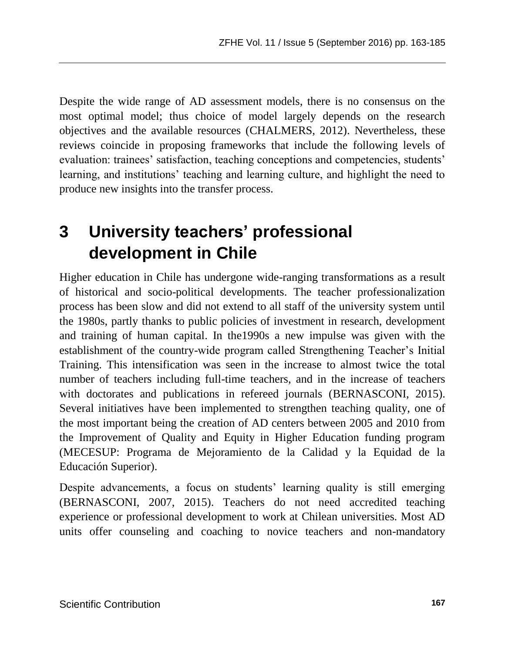Despite the wide range of AD assessment models, there is no consensus on the most optimal model; thus choice of model largely depends on the research objectives and the available resources (CHALMERS, 2012). Nevertheless, these reviews coincide in proposing frameworks that include the following levels of evaluation: trainees' satisfaction, teaching conceptions and competencies, students' learning, and institutions' teaching and learning culture, and highlight the need to produce new insights into the transfer process.

# **3 University teachers' professional development in Chile**

Higher education in Chile has undergone wide-ranging transformations as a result of historical and socio-political developments. The teacher professionalization process has been slow and did not extend to all staff of the university system until the 1980s, partly thanks to public policies of investment in research, development and training of human capital. In the1990s a new impulse was given with the establishment of the country-wide program called Strengthening Teacher's Initial Training. This intensification was seen in the increase to almost twice the total number of teachers including full-time teachers, and in the increase of teachers with doctorates and publications in refereed journals (BERNASCONI, 2015). Several initiatives have been implemented to strengthen teaching quality, one of the most important being the creation of AD centers between 2005 and 2010 from the Improvement of Quality and Equity in Higher Education funding program (MECESUP: Programa de Mejoramiento de la Calidad y la Equidad de la Educación Superior).

Despite advancements, a focus on students' learning quality is still emerging (BERNASCONI, 2007, 2015). Teachers do not need accredited teaching experience or professional development to work at Chilean universities. Most AD units offer counseling and coaching to novice teachers and non-mandatory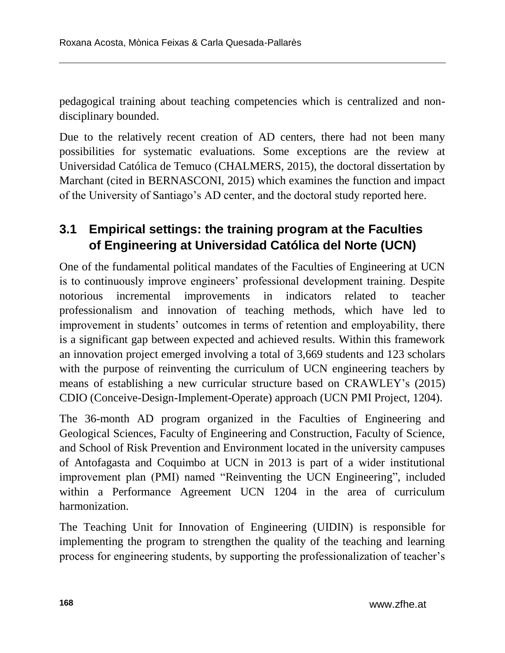pedagogical training about teaching competencies which is centralized and nondisciplinary bounded.

Due to the relatively recent creation of AD centers, there had not been many possibilities for systematic evaluations. Some exceptions are the review at Universidad Católica de Temuco (CHALMERS, 2015), the doctoral dissertation by Marchant (cited in BERNASCONI, 2015) which examines the function and impact of the University of Santiago's AD center, and the doctoral study reported here.

### **3.1 Empirical settings: the training program at the Faculties of Engineering at Universidad Católica del Norte (UCN)**

One of the fundamental political mandates of the Faculties of Engineering at UCN is to continuously improve engineers' professional development training. Despite notorious incremental improvements in indicators related to teacher professionalism and innovation of teaching methods, which have led to improvement in students' outcomes in terms of retention and employability, there is a significant gap between expected and achieved results. Within this framework an innovation project emerged involving a total of 3,669 students and 123 scholars with the purpose of reinventing the curriculum of UCN engineering teachers by means of establishing a new curricular structure based on CRAWLEY's (2015) CDIO (Conceive-Design-Implement-Operate) approach (UCN PMI Project, 1204).

The 36-month AD program organized in the Faculties of Engineering and Geological Sciences, Faculty of Engineering and Construction, Faculty of Science, and School of Risk Prevention and Environment located in the university campuses of Antofagasta and Coquimbo at UCN in 2013 is part of a wider institutional improvement plan (PMI) named "Reinventing the UCN Engineering", included within a Performance Agreement UCN 1204 in the area of curriculum harmonization.

The Teaching Unit for Innovation of Engineering (UIDIN) is responsible for implementing the program to strengthen the quality of the teaching and learning process for engineering students, by supporting the professionalization of teacher's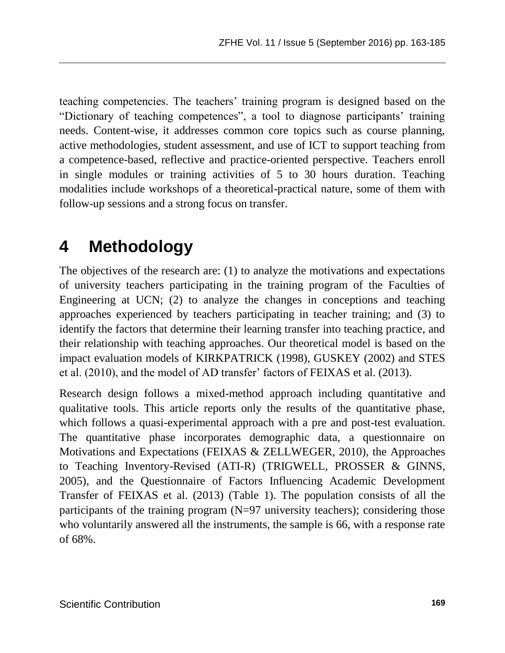teaching competencies. The teachers' training program is designed based on the "Dictionary of teaching competences", a tool to diagnose participants' training needs. Content-wise, it addresses common core topics such as course planning, active methodologies, student assessment, and use of ICT to support teaching from a competence-based, reflective and practice-oriented perspective. Teachers enroll in single modules or training activities of 5 to 30 hours duration. Teaching modalities include workshops of a theoretical-practical nature, some of them with follow-up sessions and a strong focus on transfer.

### **4 Methodology**

The objectives of the research are: (1) to analyze the motivations and expectations of university teachers participating in the training program of the Faculties of Engineering at UCN; (2) to analyze the changes in conceptions and teaching approaches experienced by teachers participating in teacher training; and (3) to identify the factors that determine their learning transfer into teaching practice, and their relationship with teaching approaches. Our theoretical model is based on the impact evaluation models of KIRKPATRICK (1998), GUSKEY (2002) and STES et al. (2010), and the model of AD transfer' factors of FEIXAS et al. (2013).

Research design follows a mixed-method approach including quantitative and qualitative tools. This article reports only the results of the quantitative phase, which follows a quasi-experimental approach with a pre and post-test evaluation. The quantitative phase incorporates demographic data, a questionnaire on Motivations and Expectations (FEIXAS & ZELLWEGER, 2010), the Approaches to Teaching Inventory-Revised (ATI-R) (TRIGWELL, PROSSER & GINNS, 2005), and the Questionnaire of Factors Influencing Academic Development Transfer of FEIXAS et al. (2013) (Table 1). The population consists of all the participants of the training program (N=97 university teachers); considering those who voluntarily answered all the instruments, the sample is 66, with a response rate of 68%.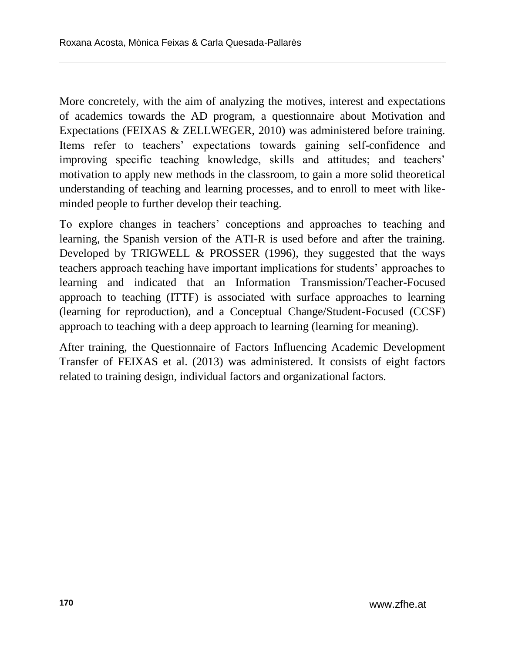More concretely, with the aim of analyzing the motives, interest and expectations of academics towards the AD program, a questionnaire about Motivation and Expectations (FEIXAS & ZELLWEGER, 2010) was administered before training. Items refer to teachers' expectations towards gaining self-confidence and improving specific teaching knowledge, skills and attitudes; and teachers' motivation to apply new methods in the classroom, to gain a more solid theoretical understanding of teaching and learning processes, and to enroll to meet with likeminded people to further develop their teaching.

To explore changes in teachers' conceptions and approaches to teaching and learning, the Spanish version of the ATI-R is used before and after the training. Developed by TRIGWELL & PROSSER (1996), they suggested that the ways teachers approach teaching have important implications for students' approaches to learning and indicated that an Information Transmission/Teacher-Focused approach to teaching (ITTF) is associated with surface approaches to learning (learning for reproduction), and a Conceptual Change/Student-Focused (CCSF) approach to teaching with a deep approach to learning (learning for meaning).

After training, the Questionnaire of Factors Influencing Academic Development Transfer of FEIXAS et al. (2013) was administered. It consists of eight factors related to training design, individual factors and organizational factors.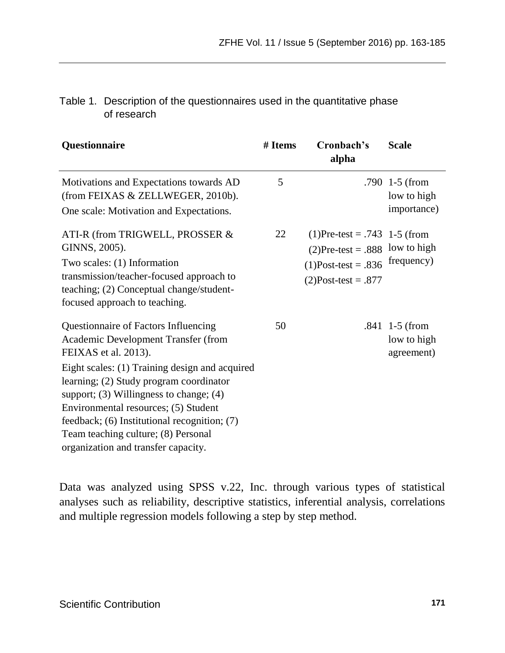| Table 1. Description of the questionnaires used in the quantitative phase |
|---------------------------------------------------------------------------|
| of research                                                               |

| Questionnaire                                                                                                                                                                                                                                                                                                                                                                                                         | # Items | Cronbach's<br>alpha                                                                                                                 | <b>Scale</b>                                 |
|-----------------------------------------------------------------------------------------------------------------------------------------------------------------------------------------------------------------------------------------------------------------------------------------------------------------------------------------------------------------------------------------------------------------------|---------|-------------------------------------------------------------------------------------------------------------------------------------|----------------------------------------------|
| Motivations and Expectations towards AD<br>(from FEIXAS & ZELLWEGER, 2010b).<br>One scale: Motivation and Expectations.                                                                                                                                                                                                                                                                                               | 5       |                                                                                                                                     | .790 1-5 (from<br>low to high<br>importance) |
| ATI-R (from TRIGWELL, PROSSER &<br>GINNS, 2005).<br>Two scales: (1) Information<br>transmission/teacher-focused approach to<br>teaching; (2) Conceptual change/student-<br>focused approach to teaching.                                                                                                                                                                                                              | 22      | $(1)$ Pre-test = .743 1-5 (from<br>$(2)$ Pre-test = .888 low to high<br>$(1)$ Post-test = .836 frequency)<br>$(2)$ Post-test = .877 |                                              |
| Questionnaire of Factors Influencing<br>Academic Development Transfer (from<br>FEIXAS et al. 2013).<br>Eight scales: (1) Training design and acquired<br>learning; (2) Study program coordinator<br>support; $(3)$ Willingness to change; $(4)$<br>Environmental resources; (5) Student<br>feedback; (6) Institutional recognition; (7)<br>Team teaching culture; (8) Personal<br>organization and transfer capacity. | 50      |                                                                                                                                     | .841 1-5 (from<br>low to high<br>agreement)  |

Data was analyzed using SPSS v.22, Inc. through various types of statistical analyses such as reliability, descriptive statistics, inferential analysis, correlations and multiple regression models following a step by step method.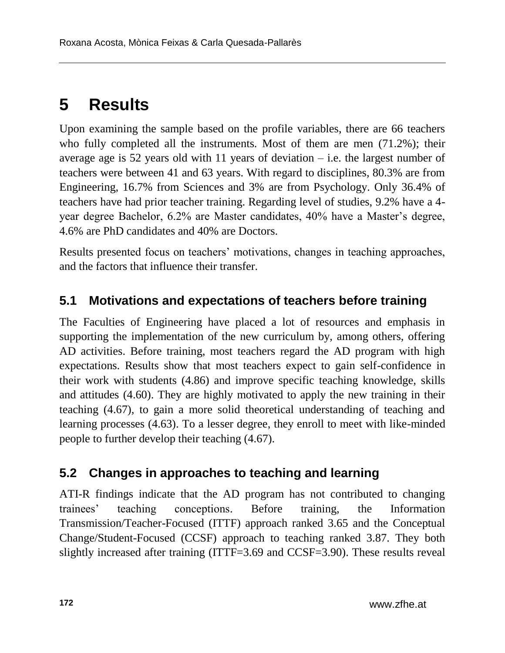# **5 Results**

Upon examining the sample based on the profile variables, there are 66 teachers who fully completed all the instruments. Most of them are men (71.2%); their average age is 52 years old with 11 years of deviation  $-$  i.e. the largest number of teachers were between 41 and 63 years. With regard to disciplines, 80.3% are from Engineering, 16.7% from Sciences and 3% are from Psychology. Only 36.4% of teachers have had prior teacher training. Regarding level of studies, 9.2% have a 4 year degree Bachelor, 6.2% are Master candidates, 40% have a Master's degree, 4.6% are PhD candidates and 40% are Doctors.

Results presented focus on teachers' motivations, changes in teaching approaches, and the factors that influence their transfer.

#### **5.1 Motivations and expectations of teachers before training**

The Faculties of Engineering have placed a lot of resources and emphasis in supporting the implementation of the new curriculum by, among others, offering AD activities. Before training, most teachers regard the AD program with high expectations. Results show that most teachers expect to gain self-confidence in their work with students (4.86) and improve specific teaching knowledge, skills and attitudes (4.60). They are highly motivated to apply the new training in their teaching (4.67), to gain a more solid theoretical understanding of teaching and learning processes (4.63). To a lesser degree, they enroll to meet with like-minded people to further develop their teaching (4.67).

#### **5.2 Changes in approaches to teaching and learning**

ATI-R findings indicate that the AD program has not contributed to changing trainees' teaching conceptions. Before training, the Information Transmission/Teacher-Focused (ITTF) approach ranked 3.65 and the Conceptual Change/Student-Focused (CCSF) approach to teaching ranked 3.87. They both slightly increased after training (ITTF=3.69 and CCSF=3.90). These results reveal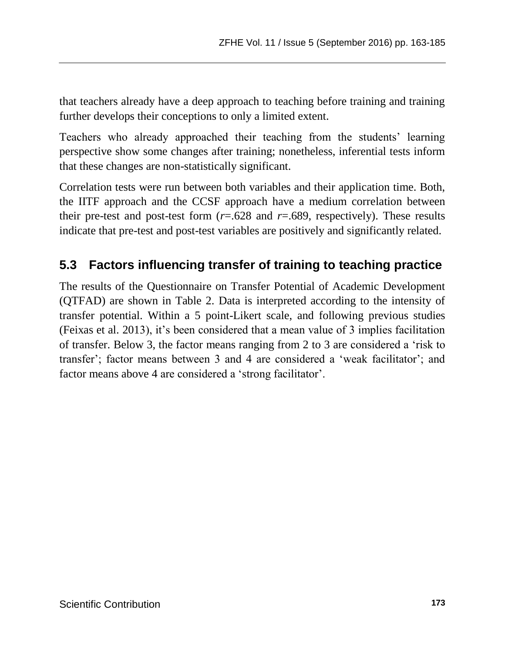that teachers already have a deep approach to teaching before training and training further develops their conceptions to only a limited extent.

Teachers who already approached their teaching from the students' learning perspective show some changes after training; nonetheless, inferential tests inform that these changes are non-statistically significant.

Correlation tests were run between both variables and their application time. Both, the IITF approach and the CCSF approach have a medium correlation between their pre-test and post-test form  $(r=.628$  and  $r=.689$ , respectively). These results indicate that pre-test and post-test variables are positively and significantly related.

### **5.3 Factors influencing transfer of training to teaching practice**

The results of the Questionnaire on Transfer Potential of Academic Development (QTFAD) are shown in Table 2. Data is interpreted according to the intensity of transfer potential. Within a 5 point-Likert scale, and following previous studies (Feixas et al. 2013), it's been considered that a mean value of 3 implies facilitation of transfer. Below 3, the factor means ranging from 2 to 3 are considered a 'risk to transfer'; factor means between 3 and 4 are considered a 'weak facilitator'; and factor means above 4 are considered a 'strong facilitator'.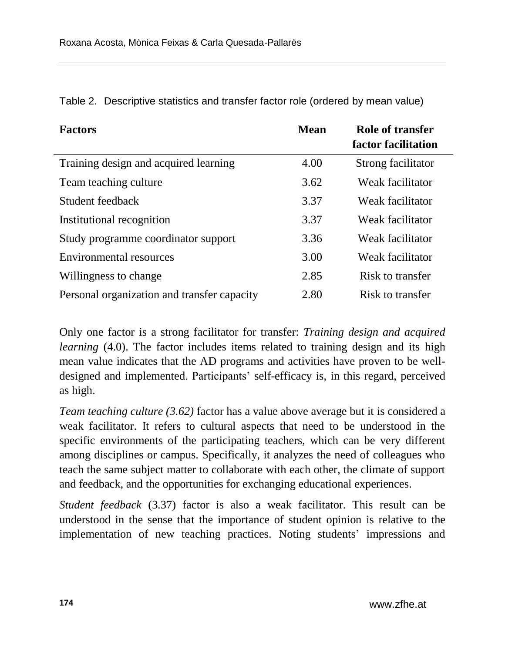| <b>Factors</b>                              | Mean | Role of transfer<br>factor facilitation |
|---------------------------------------------|------|-----------------------------------------|
| Training design and acquired learning       | 4.00 | Strong facilitator                      |
| Team teaching culture                       | 3.62 | Weak facilitator                        |
| Student feedback                            | 3.37 | Weak facilitator                        |
| Institutional recognition                   | 3.37 | Weak facilitator                        |
| Study programme coordinator support         | 3.36 | Weak facilitator                        |
| Environmental resources                     | 3.00 | Weak facilitator                        |
| Willingness to change                       | 2.85 | Risk to transfer                        |
| Personal organization and transfer capacity | 2.80 | Risk to transfer                        |

Table 2. Descriptive statistics and transfer factor role (ordered by mean value)

Only one factor is a strong facilitator for transfer: *Training design and acquired learning* (4.0). The factor includes items related to training design and its high mean value indicates that the AD programs and activities have proven to be welldesigned and implemented. Participants' self-efficacy is, in this regard, perceived as high.

*Team teaching culture (3.62)* factor has a value above average but it is considered a weak facilitator. It refers to cultural aspects that need to be understood in the specific environments of the participating teachers, which can be very different among disciplines or campus. Specifically, it analyzes the need of colleagues who teach the same subject matter to collaborate with each other, the climate of support and feedback, and the opportunities for exchanging educational experiences.

*Student feedback* (3.37) factor is also a weak facilitator. This result can be understood in the sense that the importance of student opinion is relative to the implementation of new teaching practices. Noting students' impressions and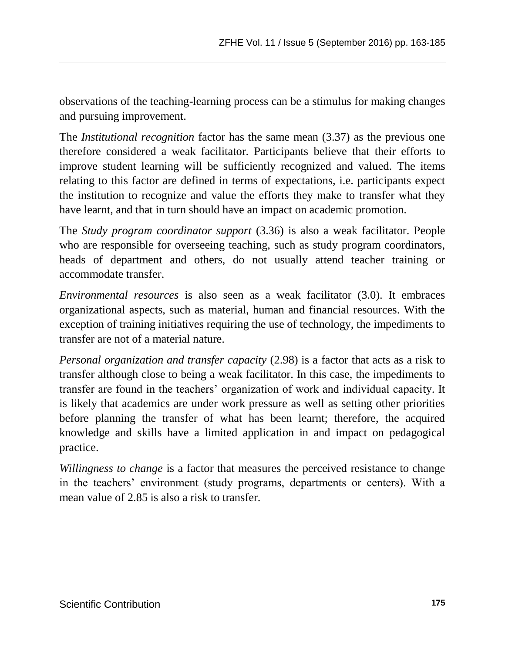observations of the teaching-learning process can be a stimulus for making changes and pursuing improvement.

The *Institutional recognition* factor has the same mean (3.37) as the previous one therefore considered a weak facilitator. Participants believe that their efforts to improve student learning will be sufficiently recognized and valued. The items relating to this factor are defined in terms of expectations, i.e. participants expect the institution to recognize and value the efforts they make to transfer what they have learnt, and that in turn should have an impact on academic promotion.

The *Study program coordinator support* (3.36) is also a weak facilitator. People who are responsible for overseeing teaching, such as study program coordinators, heads of department and others, do not usually attend teacher training or accommodate transfer.

*Environmental resources* is also seen as a weak facilitator (3.0). It embraces organizational aspects, such as material, human and financial resources. With the exception of training initiatives requiring the use of technology, the impediments to transfer are not of a material nature.

*Personal organization and transfer capacity* (2.98) is a factor that acts as a risk to transfer although close to being a weak facilitator. In this case, the impediments to transfer are found in the teachers' organization of work and individual capacity. It is likely that academics are under work pressure as well as setting other priorities before planning the transfer of what has been learnt; therefore, the acquired knowledge and skills have a limited application in and impact on pedagogical practice.

*Willingness to change* is a factor that measures the perceived resistance to change in the teachers' environment (study programs, departments or centers). With a mean value of 2.85 is also a risk to transfer.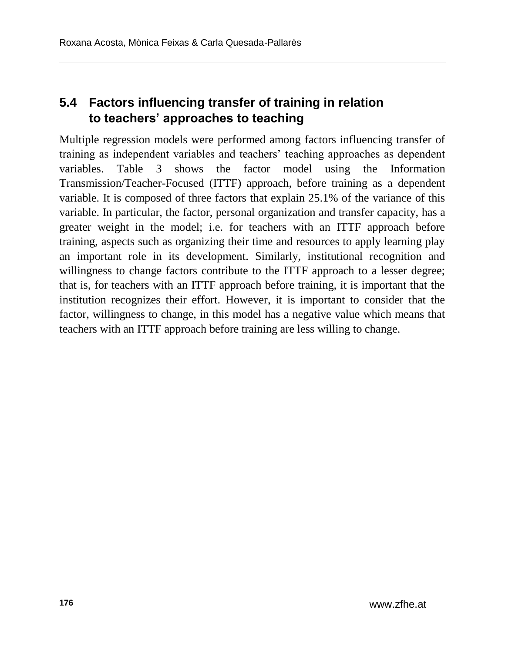### **5.4 Factors influencing transfer of training in relation to teachers' approaches to teaching**

Multiple regression models were performed among factors influencing transfer of training as independent variables and teachers' teaching approaches as dependent variables. Table 3 shows the factor model using the Information Transmission/Teacher-Focused (ITTF) approach, before training as a dependent variable. It is composed of three factors that explain 25.1% of the variance of this variable. In particular, the factor, personal organization and transfer capacity, has a greater weight in the model; i.e. for teachers with an ITTF approach before training, aspects such as organizing their time and resources to apply learning play an important role in its development. Similarly, institutional recognition and willingness to change factors contribute to the ITTF approach to a lesser degree; that is, for teachers with an ITTF approach before training, it is important that the institution recognizes their effort. However, it is important to consider that the factor, willingness to change, in this model has a negative value which means that teachers with an ITTF approach before training are less willing to change.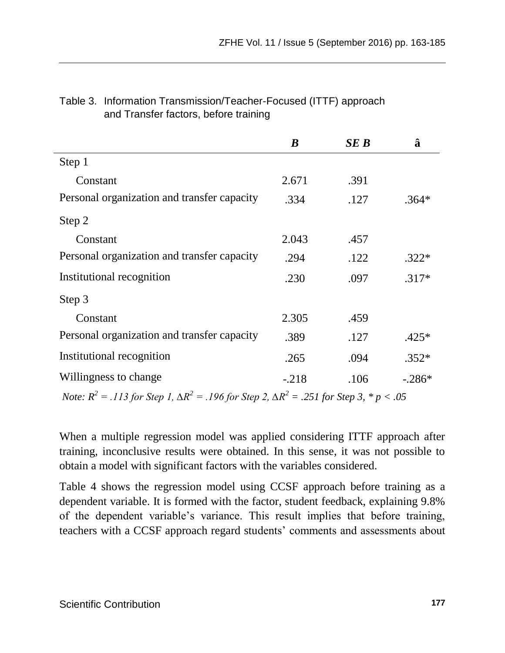|                                             | B       | SE B | â        |
|---------------------------------------------|---------|------|----------|
| Step 1                                      |         |      |          |
| Constant                                    | 2.671   | .391 |          |
| Personal organization and transfer capacity | .334    | .127 | $.364*$  |
| Step 2                                      |         |      |          |
| Constant                                    | 2.043   | .457 |          |
| Personal organization and transfer capacity | .294    | .122 | $.322*$  |
| Institutional recognition                   | .230    | .097 | $.317*$  |
| Step 3                                      |         |      |          |
| Constant                                    | 2.305   | .459 |          |
| Personal organization and transfer capacity | .389    | .127 | .425*    |
| Institutional recognition                   | .265    | .094 | $.352*$  |
| Willingness to change                       | $-.218$ | .106 | $-.286*$ |
|                                             |         |      |          |

#### Table 3. Information Transmission/Teacher-Focused (ITTF) approach and Transfer factors, before training

*Note:*  $R^2 = .113$  *for Step 1,*  $\Delta R^2 = .196$  *for Step 2,*  $\Delta R^2 = .251$  *for Step 3, \* p < .05* 

When a multiple regression model was applied considering ITTF approach after training, inconclusive results were obtained. In this sense, it was not possible to obtain a model with significant factors with the variables considered.

Table 4 shows the regression model using CCSF approach before training as a dependent variable. It is formed with the factor, student feedback, explaining 9.8% of the dependent variable's variance. This result implies that before training, teachers with a CCSF approach regard students' comments and assessments about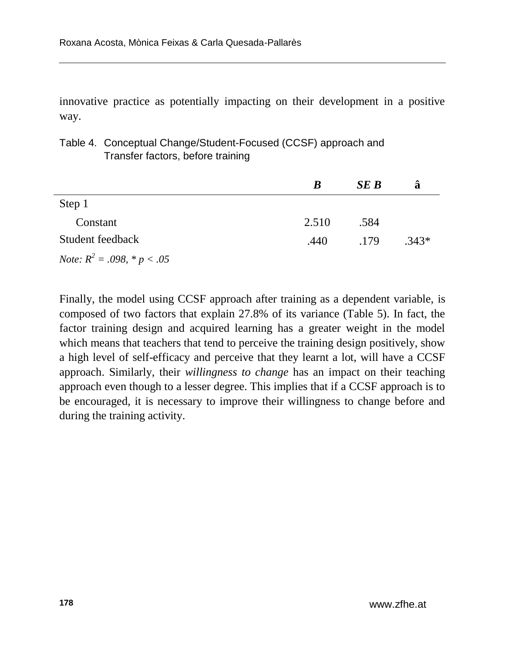innovative practice as potentially impacting on their development in a positive way.

| Table 4. Conceptual Change/Student-Focused (CCSF) approach and |
|----------------------------------------------------------------|
| Transfer factors, before training                              |

|                                         | B     | <b>SE B</b> | â       |
|-----------------------------------------|-------|-------------|---------|
| Step 1                                  |       |             |         |
| Constant                                | 2.510 | .584        |         |
| Student feedback                        | .440  | .179        | $.343*$ |
| <i>Note:</i> $R^2 = .098$ , $* p < .05$ |       |             |         |

Finally, the model using CCSF approach after training as a dependent variable, is composed of two factors that explain 27.8% of its variance (Table 5). In fact, the factor training design and acquired learning has a greater weight in the model which means that teachers that tend to perceive the training design positively, show a high level of self-efficacy and perceive that they learnt a lot, will have a CCSF approach. Similarly, their *willingness to change* has an impact on their teaching approach even though to a lesser degree. This implies that if a CCSF approach is to be encouraged, it is necessary to improve their willingness to change before and during the training activity.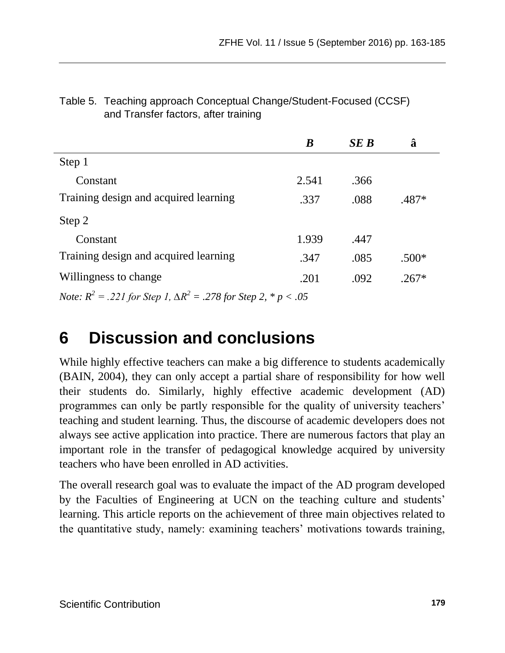|                                                                                                                        | B     | <b>SE B</b> | â       |
|------------------------------------------------------------------------------------------------------------------------|-------|-------------|---------|
| Step 1                                                                                                                 |       |             |         |
| Constant                                                                                                               | 2.541 | .366        |         |
| Training design and acquired learning                                                                                  | .337  | .088        | .487*   |
| Step 2                                                                                                                 |       |             |         |
| Constant                                                                                                               | 1.939 | .447        |         |
| Training design and acquired learning                                                                                  | .347  | .085        | $.500*$ |
| Willingness to change                                                                                                  | .201  | .092        | $.267*$ |
| $\mathcal{M}$ $\mathbb{R}^2$ 2216 $\mathbb{R}$ $\mathbb{R}^2$ 2706 $\mathbb{R}$ $\mathbb{R}$ $\mathbb{R}$ $\mathbb{R}$ |       |             |         |

| Table 5. Teaching approach Conceptual Change/Student-Focused (CCSF) |
|---------------------------------------------------------------------|
| and Transfer factors, after training                                |

*Note: R<sup>2</sup> = .221 for Step 1, ∆R<sup>2</sup> = .278 for Step 2, \* p < .05*

# **6 Discussion and conclusions**

While highly effective teachers can make a big difference to students academically (BAIN, 2004), they can only accept a partial share of responsibility for how well their students do. Similarly, highly effective academic development (AD) programmes can only be partly responsible for the quality of university teachers' teaching and student learning. Thus, the discourse of academic developers does not always see active application into practice. There are numerous factors that play an important role in the transfer of pedagogical knowledge acquired by university teachers who have been enrolled in AD activities.

The overall research goal was to evaluate the impact of the AD program developed by the Faculties of Engineering at UCN on the teaching culture and students' learning. This article reports on the achievement of three main objectives related to the quantitative study, namely: examining teachers' motivations towards training,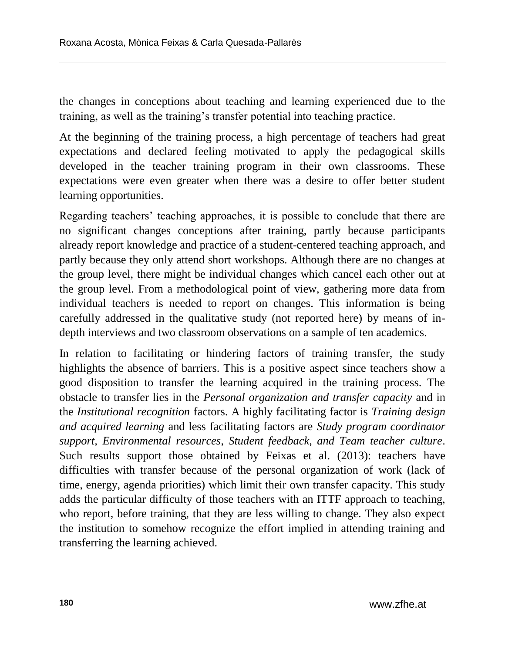the changes in conceptions about teaching and learning experienced due to the training, as well as the training's transfer potential into teaching practice.

At the beginning of the training process, a high percentage of teachers had great expectations and declared feeling motivated to apply the pedagogical skills developed in the teacher training program in their own classrooms. These expectations were even greater when there was a desire to offer better student learning opportunities.

Regarding teachers' teaching approaches, it is possible to conclude that there are no significant changes conceptions after training, partly because participants already report knowledge and practice of a student-centered teaching approach, and partly because they only attend short workshops. Although there are no changes at the group level, there might be individual changes which cancel each other out at the group level. From a methodological point of view, gathering more data from individual teachers is needed to report on changes. This information is being carefully addressed in the qualitative study (not reported here) by means of indepth interviews and two classroom observations on a sample of ten academics.

In relation to facilitating or hindering factors of training transfer, the study highlights the absence of barriers. This is a positive aspect since teachers show a good disposition to transfer the learning acquired in the training process. The obstacle to transfer lies in the *Personal organization and transfer capacity* and in the *Institutional recognition* factors. A highly facilitating factor is *Training design and acquired learning* and less facilitating factors are *Study program coordinator support, Environmental resources, Student feedback, and Team teacher culture*. Such results support those obtained by Feixas et al. (2013): teachers have difficulties with transfer because of the personal organization of work (lack of time, energy, agenda priorities) which limit their own transfer capacity. This study adds the particular difficulty of those teachers with an ITTF approach to teaching, who report, before training, that they are less willing to change. They also expect the institution to somehow recognize the effort implied in attending training and transferring the learning achieved.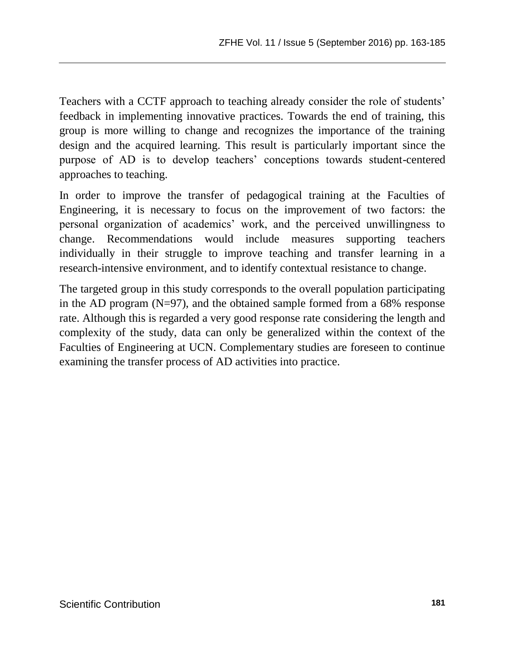Teachers with a CCTF approach to teaching already consider the role of students' feedback in implementing innovative practices. Towards the end of training, this group is more willing to change and recognizes the importance of the training design and the acquired learning. This result is particularly important since the purpose of AD is to develop teachers' conceptions towards student-centered approaches to teaching.

In order to improve the transfer of pedagogical training at the Faculties of Engineering, it is necessary to focus on the improvement of two factors: the personal organization of academics' work, and the perceived unwillingness to change. Recommendations would include measures supporting teachers individually in their struggle to improve teaching and transfer learning in a research-intensive environment, and to identify contextual resistance to change.

The targeted group in this study corresponds to the overall population participating in the AD program (N=97), and the obtained sample formed from a 68% response rate. Although this is regarded a very good response rate considering the length and complexity of the study, data can only be generalized within the context of the Faculties of Engineering at UCN. Complementary studies are foreseen to continue examining the transfer process of AD activities into practice.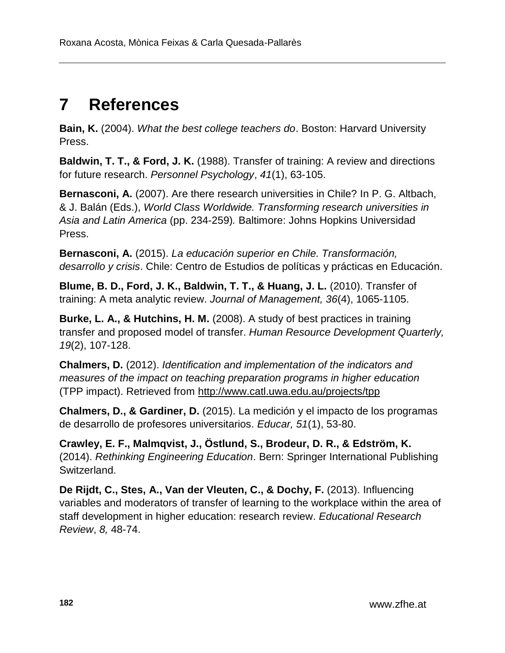# **7 References**

**Bain, K.** (2004). *What the best college teachers do*. Boston: Harvard University Press.

**Baldwin, T. T., & Ford, J. K.** (1988). Transfer of training: A review and directions for future research. *Personnel Psychology*, *41*(1), 63-105.

**Bernasconi, A.** (2007). Are there research universities in Chile? In P. G. Altbach, & J. Balán (Eds.), *World Class Worldwide. Transforming research universities in Asia and Latin America* (pp. 234-259)*.* Baltimore: Johns Hopkins Universidad Press.

**Bernasconi, A.** (2015). *La educación superior en Chile. Transformación, desarrollo y crisis*. Chile: Centro de Estudios de políticas y prácticas en Educación.

**Blume, B. D., Ford, J. K., Baldwin, T. T., & Huang, J. L.** (2010). Transfer of training: A meta analytic review. *Journal of Management, 36*(4), 1065-1105.

**Burke, L. A., & Hutchins, H. M.** (2008). A study of best practices in training transfer and proposed model of transfer. *Human Resource Development Quarterly, 19*(2), 107-128.

**Chalmers, D.** (2012). *Identification and implementation of the indicators and measures of the impact on teaching preparation programs in higher education* (TPP impact). Retrieved from<http://www.catl.uwa.edu.au/projects/tpp>

**Chalmers, D., & Gardiner, D.** (2015). La medición y el impacto de los programas de desarrollo de profesores universitarios. *Educar, 51*(1), 53-80.

**Crawley, E. F., Malmqvist, J., Östlund, S., Brodeur, D. R., & Edström, K.** (2014). *Rethinking Engineering Education*. Bern: Springer International Publishing Switzerland.

**De Rijdt, C., Stes, A., Van der Vleuten, C., & Dochy, F.** (2013). Influencing variables and moderators of transfer of learning to the workplace within the area of staff development in higher education: research review. *Educational Research Review*, *8,* 48-74.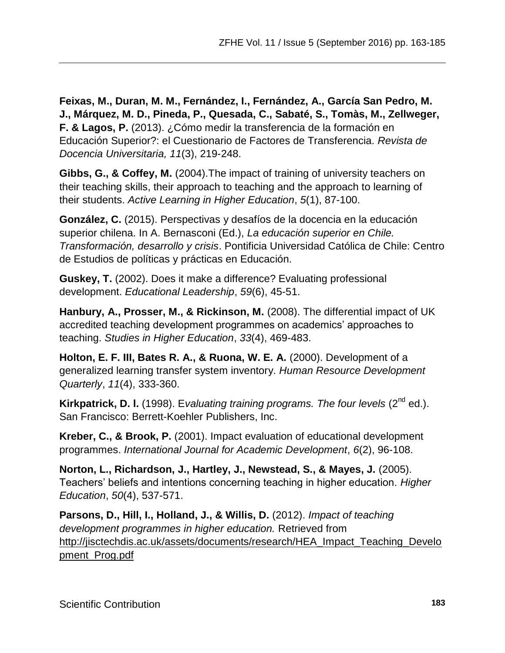**Feixas, M., Duran, M. M., Fernández, I., Fernández, A., García San Pedro, M. J., Márquez, M. D., Pineda, P., Quesada, C., Sabaté, S., Tomàs, M., Zellweger, F. & Lagos, P.** (2013). ¿Cómo medir la transferencia de la formación en Educación Superior?: el Cuestionario de Factores de Transferencia. *Revista de Docencia Universitaria, 11*(3), 219-248.

**Gibbs, G., & Coffey, M.** (2004).The impact of training of university teachers on their teaching skills, their approach to teaching and the approach to learning of their students. *Active Learning in Higher Education*, *5*(1), 87-100.

**González, C.** (2015). Perspectivas y desafíos de la docencia en la educación superior chilena. In A. Bernasconi (Ed.), *La educación superior en Chile. Transformación, desarrollo y crisis*. Pontificia Universidad Católica de Chile: Centro de Estudios de políticas y prácticas en Educación.

**Guskey, T.** (2002). Does it make a difference? Evaluating professional development. *Educational Leadership*, *59*(6), 45-51.

**Hanbury, A., Prosser, M., & Rickinson, M.** (2008). The differential impact of UK accredited teaching development programmes on academics' approaches to teaching. *Studies in Higher Education*, *33*(4), 469-483.

**Holton, E. F. III, Bates R. A., & Ruona, W. E. A.** (2000). Development of a generalized learning transfer system inventory. *Human Resource Development Quarterly*, *11*(4), 333-360.

Kirkpatrick, D. I. (1998). Evaluating training programs. The four levels (2<sup>nd</sup> ed.). San Francisco: Berrett-Koehler Publishers, Inc.

**Kreber, C., & Brook, P.** (2001). Impact evaluation of educational development programmes. *International Journal for Academic Development*, *6*(2), 96-108.

**Norton, L., Richardson, J., Hartley, J., Newstead, S., & Mayes, J.** (2005). Teachers' beliefs and intentions concerning teaching in higher education. *Higher Education*, *50*(4), 537-571.

**Parsons, D., Hill, I., Holland, J., & Willis, D.** (2012). *Impact of teaching development programmes in higher education.* Retrieved from [http://jisctechdis.ac.uk/assets/documents/research/HEA\\_Impact\\_Teaching\\_Develo](http://jisctechdis.ac.uk/assets/documents/research/HEA_Impact_Teaching_Development_Prog.pdf) [pment\\_Prog.pdf](http://jisctechdis.ac.uk/assets/documents/research/HEA_Impact_Teaching_Development_Prog.pdf)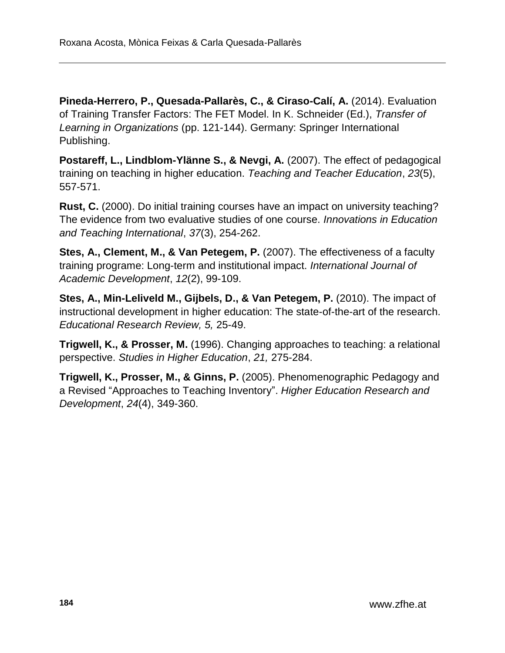**Pineda-Herrero, P., Quesada-Pallarès, C., & Ciraso-Calí, A.** (2014). Evaluation of Training Transfer Factors: The FET Model. In K. Schneider (Ed.), *Transfer of Learning in Organizations* (pp. 121-144). Germany: Springer International Publishing.

**Postareff, L., Lindblom-Ylänne S., & Nevgi, A.** (2007). The effect of pedagogical training on teaching in higher education. *Teaching and Teacher Education*, *23*(5), 557-571.

**Rust, C.** (2000). Do initial training courses have an impact on university teaching? The evidence from two evaluative studies of one course. *Innovations in Education and Teaching International*, *37*(3), 254-262.

**Stes, A., Clement, M., & Van Petegem, P.** (2007). The effectiveness of a faculty training programe: Long-term and institutional impact. *International Journal of Academic Development*, *12*(2), 99-109.

**Stes, A., Min-Leliveld M., Gijbels, D., & Van Petegem, P.** (2010). The impact of instructional development in higher education: The state-of-the-art of the research. *Educational Research Review, 5,* 25-49.

**Trigwell, K., & Prosser, M.** (1996). Changing approaches to teaching: a relational perspective. *Studies in Higher Education*, *21,* 275-284.

**Trigwell, K., Prosser, M., & Ginns, P.** (2005). Phenomenographic Pedagogy and a Revised "Approaches to Teaching Inventory". *Higher Education Research and Development*, *24*(4), 349-360.